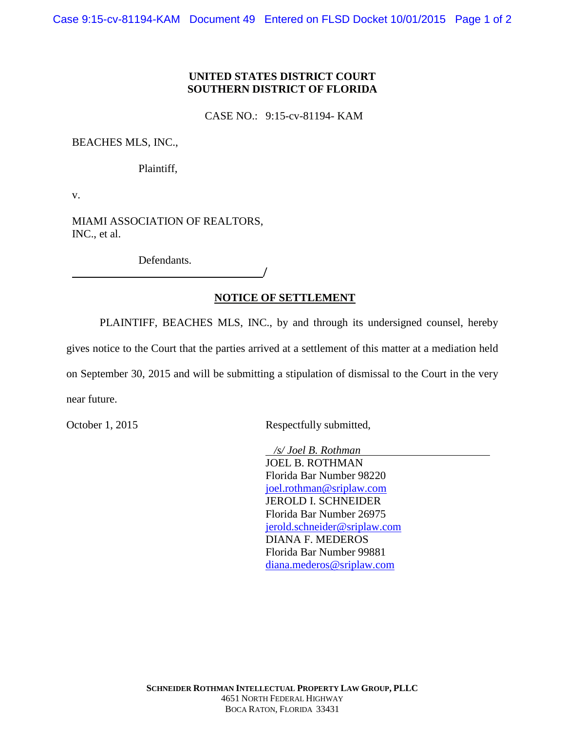## **UNITED STATES DISTRICT COURT SOUTHERN DISTRICT OF FLORIDA**

CASE NO.: 9:15-cv-81194- KAM

BEACHES MLS, INC.,

Plaintiff,

v.

MIAMI ASSOCIATION OF REALTORS, INC., et al.

Defendants.

# **NOTICE OF SETTLEMENT**

/

PLAINTIFF, BEACHES MLS, INC., by and through its undersigned counsel, hereby

gives notice to the Court that the parties arrived at a settlement of this matter at a mediation held

on September 30, 2015 and will be submitting a stipulation of dismissal to the Court in the very near future.

October 1, 2015 Respectfully submitted,

*/s/ Joel B. Rothman* JOEL B. ROTHMAN Florida Bar Number 98220 [joel.rothman@sriplaw.com](mailto:joel.rothman@sriplaw.com) JEROLD I. SCHNEIDER Florida Bar Number 26975 [jerold.schneider@sriplaw.com](mailto:jerold.schneider@sriplaw.com) DIANA F. MEDEROS Florida Bar Number 99881 [diana.mederos@sriplaw.com](mailto:diana.mederos@sriplaw.com)